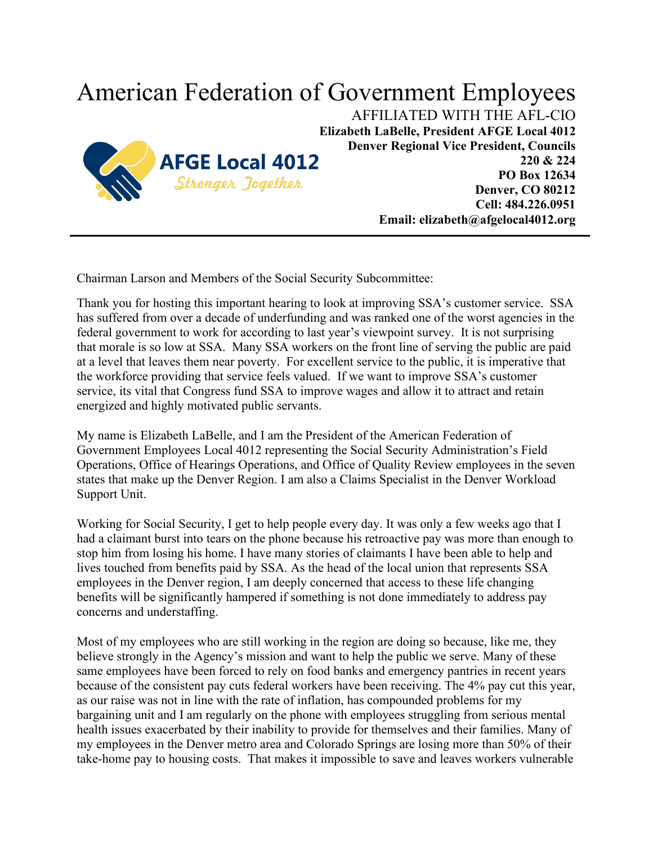## American Federation of Government Employees



AFFILIATED WITH THE AFL-CIO **Elizabeth LaBelle, President AFGE Local 4012 Denver Regional Vice President, Councils 220 & 224 PO Box 12634 Denver, CO 80212 Cell: 484.226.0951 Email: elizabeth@afgelocal4012.org**

Chairman Larson and Members of the Social Security Subcommittee:

Thank you for hosting this important hearing to look at improving SSA's customer service. SSA has suffered from over a decade of underfunding and was ranked one of the worst agencies in the federal government to work for according to last year's viewpoint survey. It is not surprising that morale is so low at SSA. Many SSA workers on the front line of serving the public are paid at a level that leaves them near poverty. For excellent service to the public, it is imperative that the workforce providing that service feels valued. If we want to improve SSA's customer service, its vital that Congress fund SSA to improve wages and allow it to attract and retain energized and highly motivated public servants.

My name is Elizabeth LaBelle, and I am the President of the American Federation of Government Employees Local 4012 representing the Social Security Administration's Field Operations, Office of Hearings Operations, and Office of Quality Review employees in the seven states that make up the Denver Region. I am also a Claims Specialist in the Denver Workload Support Unit.

Working for Social Security, I get to help people every day. It was only a few weeks ago that I had a claimant burst into tears on the phone because his retroactive pay was more than enough to stop him from losing his home. I have many stories of claimants I have been able to help and lives touched from benefits paid by SSA. As the head of the local union that represents SSA employees in the Denver region, I am deeply concerned that access to these life changing benefits will be significantly hampered if something is not done immediately to address pay concerns and understaffing.

Most of my employees who are still working in the region are doing so because, like me, they believe strongly in the Agency's mission and want to help the public we serve. Many of these same employees have been forced to rely on food banks and emergency pantries in recent years because of the consistent pay cuts federal workers have been receiving. The 4% pay cut this year, as our raise was not in line with the rate of inflation, has compounded problems for my bargaining unit and I am regularly on the phone with employees struggling from serious mental health issues exacerbated by their inability to provide for themselves and their families. Many of my employees in the Denver metro area and Colorado Springs are losing more than 50% of their take-home pay to housing costs. That makes it impossible to save and leaves workers vulnerable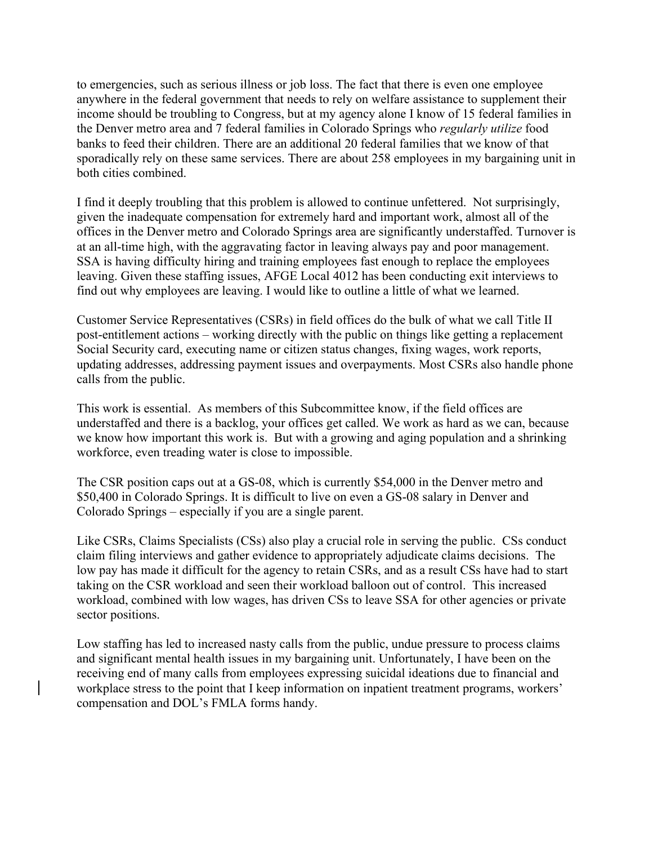to emergencies, such as serious illness or job loss. The fact that there is even one employee anywhere in the federal government that needs to rely on welfare assistance to supplement their income should be troubling to Congress, but at my agency alone I know of 15 federal families in the Denver metro area and 7 federal families in Colorado Springs who *regularly utilize* food banks to feed their children. There are an additional 20 federal families that we know of that sporadically rely on these same services. There are about 258 employees in my bargaining unit in both cities combined.

I find it deeply troubling that this problem is allowed to continue unfettered. Not surprisingly, given the inadequate compensation for extremely hard and important work, almost all of the offices in the Denver metro and Colorado Springs area are significantly understaffed. Turnover is at an all-time high, with the aggravating factor in leaving always pay and poor management. SSA is having difficulty hiring and training employees fast enough to replace the employees leaving. Given these staffing issues, AFGE Local 4012 has been conducting exit interviews to find out why employees are leaving. I would like to outline a little of what we learned.

Customer Service Representatives (CSRs) in field offices do the bulk of what we call Title II post-entitlement actions – working directly with the public on things like getting a replacement Social Security card, executing name or citizen status changes, fixing wages, work reports, updating addresses, addressing payment issues and overpayments. Most CSRs also handle phone calls from the public.

This work is essential. As members of this Subcommittee know, if the field offices are understaffed and there is a backlog, your offices get called. We work as hard as we can, because we know how important this work is. But with a growing and aging population and a shrinking workforce, even treading water is close to impossible.

The CSR position caps out at a GS-08, which is currently \$54,000 in the Denver metro and \$50,400 in Colorado Springs. It is difficult to live on even a GS-08 salary in Denver and Colorado Springs – especially if you are a single parent.

Like CSRs, Claims Specialists (CSs) also play a crucial role in serving the public. CSs conduct claim filing interviews and gather evidence to appropriately adjudicate claims decisions. The low pay has made it difficult for the agency to retain CSRs, and as a result CSs have had to start taking on the CSR workload and seen their workload balloon out of control. This increased workload, combined with low wages, has driven CSs to leave SSA for other agencies or private sector positions.

Low staffing has led to increased nasty calls from the public, undue pressure to process claims and significant mental health issues in my bargaining unit. Unfortunately, I have been on the receiving end of many calls from employees expressing suicidal ideations due to financial and workplace stress to the point that I keep information on inpatient treatment programs, workers' compensation and DOL's FMLA forms handy.